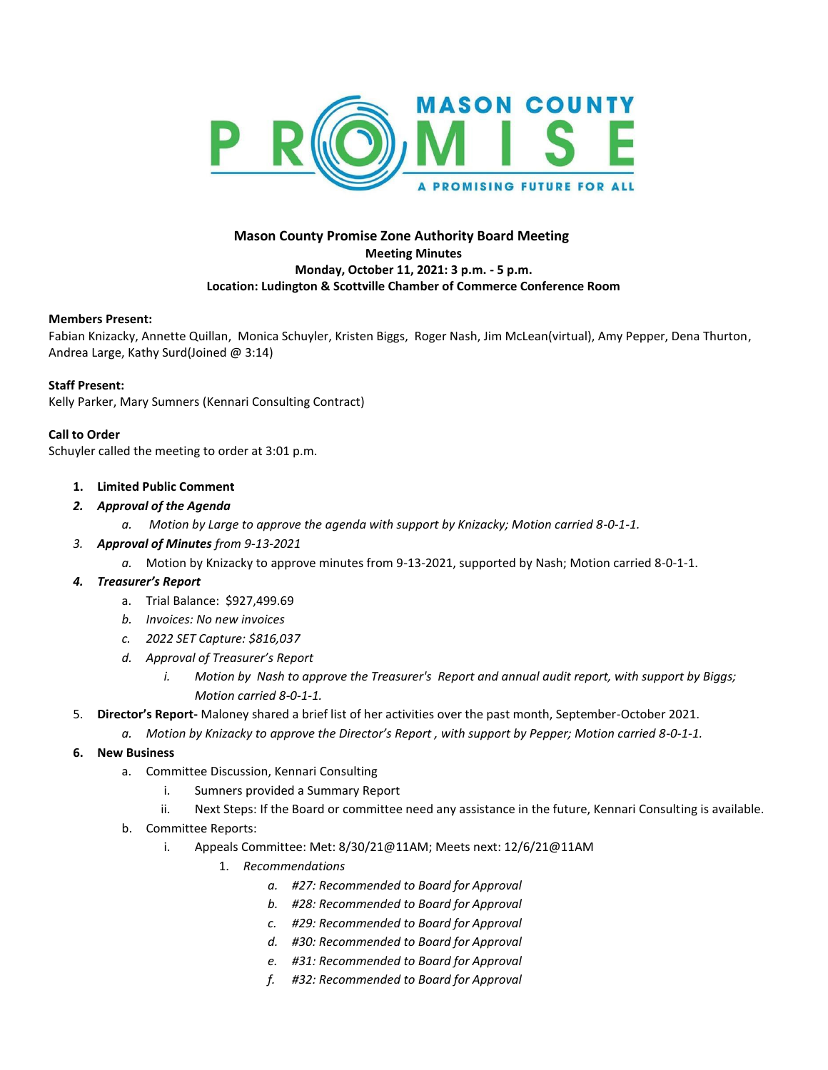

## **Mason County Promise Zone Authority Board Meeting Meeting Minutes Monday, October 11, 2021: 3 p.m. - 5 p.m. Location: Ludington & Scottville Chamber of Commerce Conference Room**

#### **Members Present:**

Fabian Knizacky, Annette Quillan, Monica Schuyler, Kristen Biggs, Roger Nash, Jim McLean(virtual), Amy Pepper, Dena Thurton, Andrea Large, Kathy Surd(Joined @ 3:14)

## **Staff Present:**

Kelly Parker, Mary Sumners (Kennari Consulting Contract)

#### **Call to Order**

Schuyler called the meeting to order at 3:01 p.m.

- **1. Limited Public Comment**
- *2. Approval of the Agenda*
	- *a. Motion by Large to approve the agenda with support by Knizacky; Motion carried 8-0-1-1.*
- *3. Approval of Minutes from 9-13-2021*
	- *a.* Motion by Knizacky to approve minutes from 9-13-2021, supported by Nash; Motion carried 8-0-1-1.

## *4. Treasurer's Report*

- a. Trial Balance: \$927,499.69
- *b. Invoices: No new invoices*
- *c. 2022 SET Capture: \$816,037*
- *d. Approval of Treasurer's Report*
	- *i. Motion by Nash to approve the Treasurer's Report and annual audit report, with support by Biggs; Motion carried 8-0-1-1.*
- 5. **Director's Report-** Maloney shared a brief list of her activities over the past month, September-October 2021.
- *a. Motion by Knizacky to approve the Director's Report , with support by Pepper; Motion carried 8-0-1-1.*
- **6. New Business**
	- a. Committee Discussion, Kennari Consulting
		- i. Sumners provided a Summary Report
		- ii. Next Steps: If the Board or committee need any assistance in the future, Kennari Consulting is available.
	- b. Committee Reports:
		- i. Appeals Committee: Met: 8/30/21@11AM; Meets next: 12/6/21@11AM
			- 1. *Recommendations*
				- *a. #27: Recommended to Board for Approval*
				- *b. #28: Recommended to Board for Approval*
				- *c. #29: Recommended to Board for Approval*
				- *d. #30: Recommended to Board for Approval*
				- *e. #31: Recommended to Board for Approval*
				- *f. #32: Recommended to Board for Approval*